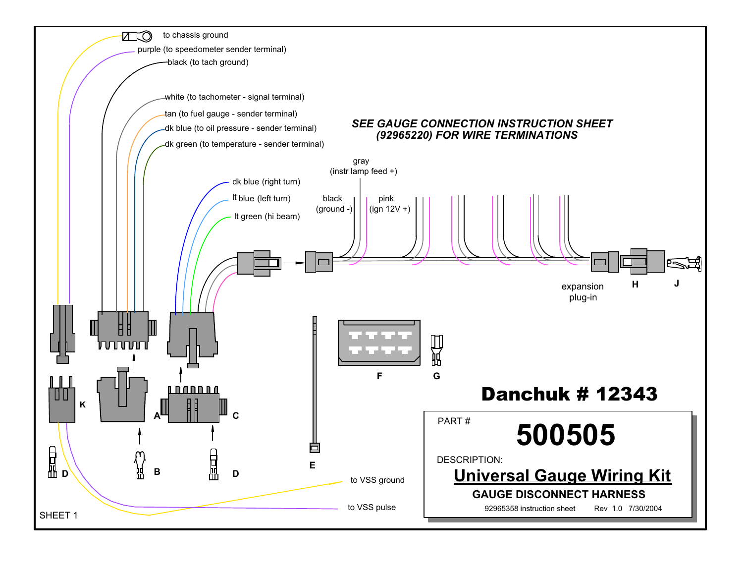